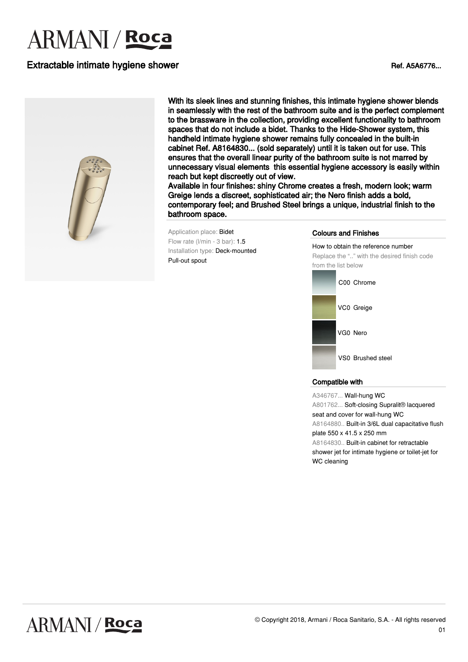# **ARMANI** / **Roca**

## Extractable intimate hygiene shower Ref. A5A6776...



With its sleek lines and stunning finishes, this intimate hygiene shower blends in seamlessly with the rest of the bathroom suite and is the perfect complement to the brassware in the collection, providing excellent functionality to bathroom spaces that do not include a bidet. Thanks to the Hide-Shower system, this handheld intimate hygiene shower remains fully concealed in the built-in cabinet Ref. A8164830... (sold separately) until it is taken out for use. This ensures that the overall linear purity of the bathroom suite is not marred by unnecessary visual elements this essential hygiene accessory is easily within reach but kept discreetly out of view.

Available in four finishes: shiny Chrome creates a fresh, modern look; warm Greige lends a discreet, sophisticated air; the Nero finish adds a bold, contemporary feel; and Brushed Steel brings a unique, industrial finish to the bathroom space.

Application place: Bidet Flow rate (l/min - 3 bar): 1.5 Installation type: Deck-mounted Pull-out spout

#### Colours and Finishes

How to obtain the reference number Replace the ".." with the desired finish code from the list below



#### Compatible with

A346767... Wall-hung WC A801762... Soft-closing Supralit® lacquered seat and cover for wall-hung WC A8164880.. Built-in 3/6L dual capacitative flush plate 550 x 41.5 x 250 mm A8164830.. Built-in cabinet for retractable shower jet for intimate hygiene or toilet-jet for WC cleaning

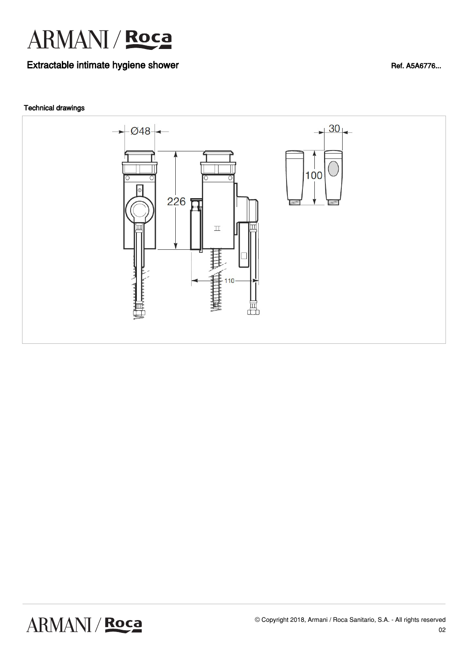

## Extractable intimate hygiene shower Ref. A5A6776...

#### Technical drawings